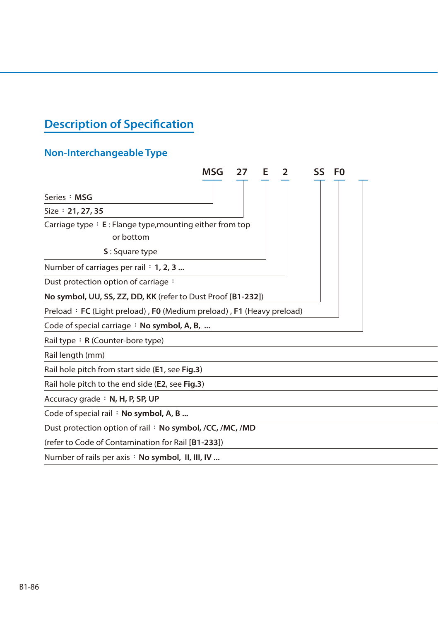## **Description of Specification**

## **Non-Interchangeable Type**

|                                                                                               | MSG | 27 | Е | SS | F0 |  |
|-----------------------------------------------------------------------------------------------|-----|----|---|----|----|--|
| Series : MSG                                                                                  |     |    |   |    |    |  |
| Size: 21, 27, 35                                                                              |     |    |   |    |    |  |
| Carriage type $\div$ E : Flange type, mounting either from top<br>or bottom<br>S: Square type |     |    |   |    |    |  |
| Number of carriages per rail $: 1, 2, 3 $                                                     |     |    |   |    |    |  |
| Dust protection option of carriage:                                                           |     |    |   |    |    |  |
| No symbol, UU, SS, ZZ, DD, KK (refer to Dust Proof [B1-232])                                  |     |    |   |    |    |  |
| Preload: FC (Light preload), F0 (Medium preload), F1 (Heavy preload)                          |     |    |   |    |    |  |
| Code of special carriage $\cdot$ No symbol, A, B,                                             |     |    |   |    |    |  |
| Rail type : $R$ (Counter-bore type)                                                           |     |    |   |    |    |  |
| Rail length (mm)                                                                              |     |    |   |    |    |  |
| Rail hole pitch from start side (E1, see Fig.3)                                               |     |    |   |    |    |  |
| Rail hole pitch to the end side (E2, see Fig.3)                                               |     |    |   |    |    |  |
| Accuracy grade: N, H, P, SP, UP                                                               |     |    |   |    |    |  |
| Code of special rail : No symbol, A, B                                                        |     |    |   |    |    |  |
| Dust protection option of rail: No symbol, /CC, /MC, /MD                                      |     |    |   |    |    |  |
| (refer to Code of Contamination for Rail [B1-233])                                            |     |    |   |    |    |  |
| Number of rails per axis: No symbol, II, III, IV                                              |     |    |   |    |    |  |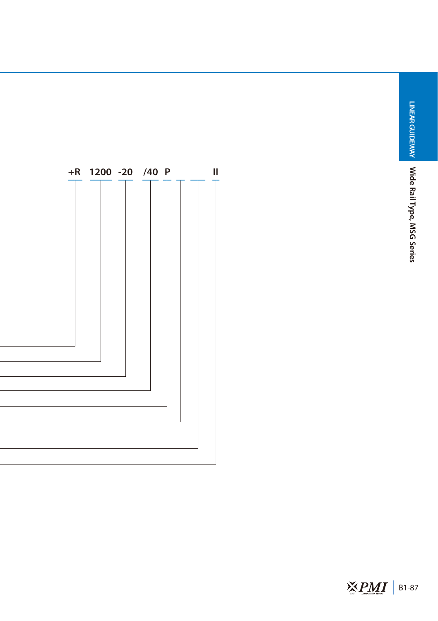**LINEAR GUIDEWAY** 

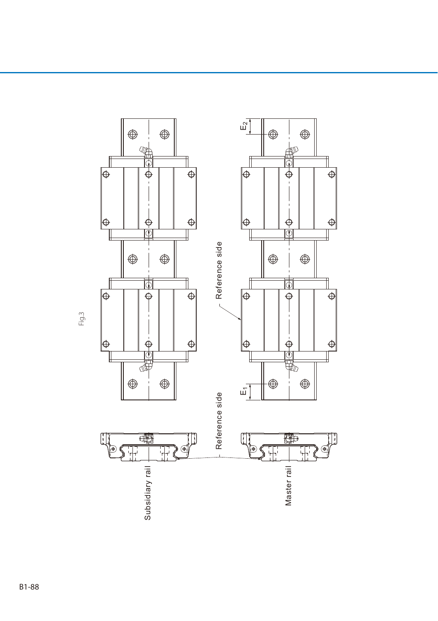

Fig.3